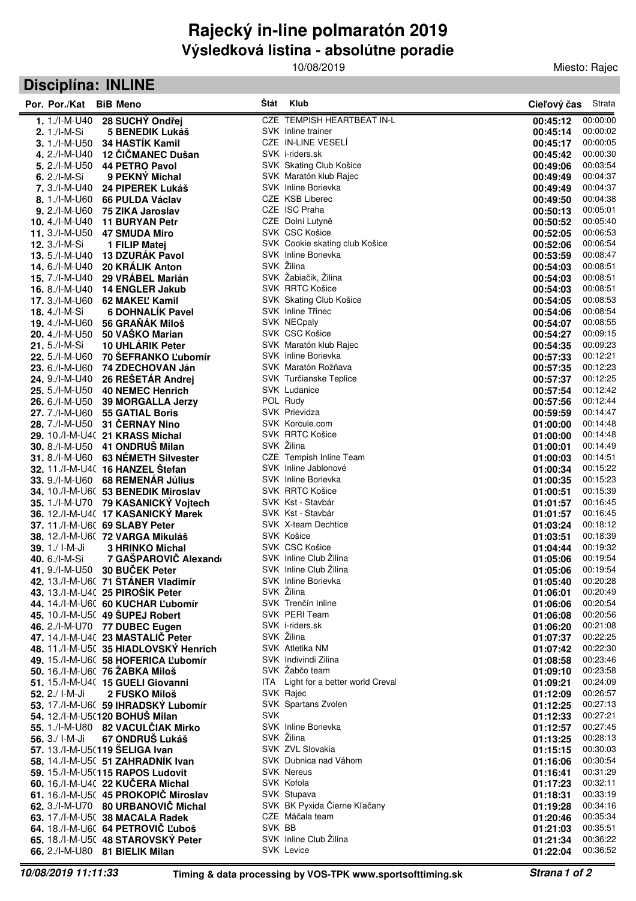## **Výsledková listina - absolútne poradie Rajecký in-line polmaratón 2019**

10/08/2019

Miesto: Rajec

## **Disciplína: INLINE**

| Por. Por./Kat                             | <b>BiB Meno</b>                                                         |            | Štát Klub                                        | Cieľový čas          | Strata               |
|-------------------------------------------|-------------------------------------------------------------------------|------------|--------------------------------------------------|----------------------|----------------------|
| $1.1$ ./I-M-U40                           | 28 SUCHÝ Ondřej                                                         |            | CZE TEMPISH HEARTBEAT IN-L                       | 00:45:12             | 00:00:00             |
| $2.1$ ./I-M-Si                            | <b>5 BENEDIK Lukáš</b>                                                  |            | SVK Inline trainer                               | 00:45:14             | 00:00:02             |
| $3.1$ ./I-M-U50                           | 34 HASTÍK Kamil                                                         |            | CZE IN-LINE VESELÍ                               | 00:45:17             | 00:00:05             |
| 4.2./I-M-U40                              | 12 ČIČMANEC Dušan                                                       |            | SVK i-riders.sk                                  | 00:45:42             | 00:00:30             |
| $5.2$ ./I-M-U50                           | <b>44 PETRO Pavol</b>                                                   |            | SVK Skating Club Košice                          | 00:49:06             | 00:03:54             |
| 6. $2./I-M-Si$                            | 9 PEKNY Michal                                                          |            | SVK Maratón klub Rajec                           | 00:49:49             | 00:04:37             |
| 7. 3./I-M-U40                             | 24 PIPEREK Lukáš                                                        |            | SVK Inline Borievka                              | 00:49:49             | 00:04:37             |
| 8.1./I-M-U60                              | 66 PULDA Václav                                                         |            | CZE KSB Liberec                                  | 00:49:50             | 00:04:38             |
| $9.2$ ./I-M-U60                           | 75 ZIKA Jaroslav                                                        |            | CZE ISC Praha                                    | 00:50:13             | 00:05:01             |
| 10. $4./$ -M-U $40$                       | <b>11 BURYAN Petr</b>                                                   |            | CZE Dolní Lutyně                                 | 00:50:52             | 00:05:40             |
| 11. 3./I-M-U50                            | <b>47 SMUDA Miro</b>                                                    |            | SVK CSC Košice<br>SVK Cookie skating club Košice | 00:52:05             | 00:06:53<br>00:06:54 |
| <b>12.</b> 3./I-M-Si                      | 1 FILIP Matej                                                           |            | SVK Inline Borievka                              | 00:52:06             | 00:08:47             |
| $13.5$ ./I-M-U40<br><b>14.</b> 6./I-M-U40 | 13 DZURÁK Pavol<br><b>20 KRALIK Anton</b>                               |            | SVK Žilina                                       | 00:53:59<br>00:54:03 | 00:08:51             |
| 15.7./I-M-U40                             | 29 VRÁBEL Marián                                                        |            | SVK Žabiačik, Žilina                             | 00:54:03             | 00:08:51             |
| <b>16.</b> 8./I-M-U40                     | 14 ENGLER Jakub                                                         |            | SVK RRTC Košice                                  | 00:54:03             | 00:08:51             |
| <b>17.</b> 3./I-M-U60                     | 62 MAKEL Kamil                                                          |            | SVK Skating Club Košice                          | 00:54:05             | 00:08:53             |
| <b>18.</b> 4./I-M-Si                      | <b>6 DOHNALIK Pavel</b>                                                 |            | SVK Inline Třinec                                | 00:54:06             | 00:08:54             |
| 19.4./I-M-U60                             | 56 GRAŇÁK Miloš                                                         |            | SVK NECpaly                                      | 00:54:07             | 00:08:55             |
|                                           | 20. 4./I-M-U50 50 VAŠKO Marian                                          |            | SVK CSC Košice                                   | 00:54:27             | 00:09:15             |
| 21. 5./I-M-Si                             | 10 UHLÁRIK Peter                                                        |            | SVK Maratón klub Rajec                           | 00:54:35             | 00:09:23             |
| 22. 5./I-M-U60                            | 70 ŠEFRANKO Ľubomír                                                     |            | SVK Inline Borievka                              | 00:57:33             | 00:12:21             |
| 23. 6./I-M-U60                            | 74 ZDECHOVAN Ján                                                        |            | SVK Maratón Rožňava                              | 00:57:35             | 00:12:23             |
| 24. 9./I-M-U40                            | 26 REŠETÁR Andrej                                                       |            | SVK Turčianske Teplice                           | 00:57:37             | 00:12:25             |
| 25. 5./I-M-U50                            | <b>40 NEMEC Henrich</b>                                                 |            | <b>SVK Ludanice</b>                              | 00:57:54             | 00:12:42             |
| 26. 6./I-M-U50                            | <b>39 MORGALLA Jerzy</b>                                                |            | POL Rudy                                         | 00:57:56             | 00:12:44             |
| 27.7./I-M-U60                             | <b>55 GATIAL Boris</b>                                                  |            | SVK Prievidza                                    | 00:59:59             | 00:14:47             |
| <b>28.</b> 7./I-M-U50                     | 31 ČERNAY Nino                                                          |            | SVK Korcule.com                                  | 01:00:00             | 00:14:48             |
|                                           | 29. 10./I-M-U4( 21 KRASS Michal                                         |            | SVK RRTC Košice                                  | 01:00:00             | 00:14:48             |
|                                           | 30. 8./I-M-U50 41 ONDRUŠ Milan                                          |            | SVK Žilina                                       | 01:00:01             | 00:14:49             |
|                                           | 31. 8./I-M-U60 63 NÉMETH Silvester                                      |            | CZE Tempish Inline Team<br>SVK Inline Jablonové  | 01:00:03             | 00:14:51<br>00:15:22 |
|                                           | 32. 11./I-M-U4( 16 HANZEL Štefan                                        |            | SVK Inline Borievka                              | 01:00:34             | 00:15:23             |
|                                           | 33. 9./I-M-U60 68 REMENÁR Július<br>34. 10./I-M-U60 53 BENEDIK Miroslav |            | SVK RRTC Košice                                  | 01:00:35<br>01:00:51 | 00:15:39             |
|                                           | 35. 1./I-M-U70 79 KASANICKÝ Vojtech                                     |            | SVK Kst - Stavbár                                | 01:01:57             | 00:16:45             |
|                                           | 36. 12./I-M-U4( 17 KASANICKÝ Marek                                      |            | SVK Kst - Stavbár                                | 01:01:57             | 00:16:45             |
|                                           | 37. 11./I-M-U6( 69 SLABY Peter                                          |            | SVK X-team Dechtice                              | 01:03:24             | 00:18:12             |
|                                           | 38. 12./I-M-U60 72 VARGA Mikuláš                                        |            | SVK Košice                                       | 01:03:51             | 00:18:39             |
| 39. 1./ I-M-Ji                            | <b>3 HRINKO Michal</b>                                                  |            | SVK CSC Košice                                   | 01:04:44             | 00:19:32             |
| 40. 6./I-M-Si                             | 7 GAŠPAROVIČ Alexando                                                   |            | SVK Inline Club Žilina                           | 01:05:06             | 00:19:54             |
| 41.9./I-M-U50                             | 30 BUČEK Peter                                                          |            | SVK Inline Club Žilina                           | 01:05:06             | 00:19:54             |
|                                           | 42. 13./I-M-U60 71 STANER Vladimír                                      |            | SVK Inline Borievka                              | 01:05:40             | 00:20:28             |
|                                           | 43. 13./I-M-U4(25 PIROŠÍK Peter                                         |            | SVK Žilina                                       | 01:06:01             | 00:20:49             |
|                                           | 44. 14./I-M-U60 60 KUCHAR L'ubomír                                      |            | SVK Trenčín Inline                               | 01:06:06             | 00:20:54             |
|                                           | 45. 10./I-M-U5(49 SUPEJ Robert                                          |            | SVK PERI Team                                    | 01:06:08             | 00:20:56             |
|                                           | 46. 2./I-M-U70 77 DUBEC Eugen                                           |            | SVK i-riders.sk                                  | 01:06:20             | 00:21:08             |
|                                           | 47. 14./I-M-U40 23 MASTALIČ Peter                                       |            | SVK Žilina                                       | 01:07:37             | 00:22:25             |
|                                           | 48. 11./I-M-U5(35 HIADLOVSKÝ Henrich                                    |            | SVK Atletika NM<br>SVK Indivindi Zilina          | 01:07:42             | 00:22:30<br>00:23:46 |
|                                           | 49. 15./I-M-U6( 58 HOFERICA L'ubomír                                    |            | SVK Žabčo team                                   | 01:08:58<br>01:09:10 | 00:23:58             |
|                                           | 50. 16./I-M-U60 76 ZABKA Miloš<br>51. 15./I-M-U4( 15 GUELI Giovanni     |            | ITA Light for a better world Creval              | 01:09:21             | 00:24:09             |
| $52, 2$ ./ I-M-Ji                         | 2 FUSKO Miloš                                                           |            | SVK Rajec                                        | 01:12:09             | 00:26:57             |
|                                           | 53. 17./I-M-U6( 59 IHRADSKÝ Lubomír                                     |            | SVK Spartans Zvolen                              | 01:12:25             | 00:27:13             |
|                                           | 54. 12./l-M-U5(120 BOHUŠ Milan                                          | <b>SVK</b> |                                                  | 01:12:33             | 00:27:21             |
|                                           | 55. 1./I-M-U80 82 VACULČIAK Mirko                                       |            | SVK Inline Borievka                              | 01:12:57             | 00:27:45             |
| 56, $3/$ I-M-Ji                           | 67 ONDRUŠ Lukáš                                                         |            | SVK Žilina                                       | 01:13:25             | 00:28:13             |
|                                           | 57. 13./I-M-U5(119 ŠELIGA Ivan                                          |            | SVK ZVL Slovakia                                 | 01:15:15             | 00:30:03             |
|                                           | 58. 14./I-M-U5( 51 ZAHRADNIK Ivan                                       |            | SVK Dubnica nad Váhom                            | 01:16:06             | 00:30:54             |
|                                           | 59. 15./l-M-U5(115 RAPOS Ludovit                                        |            | <b>SVK Nereus</b>                                | 01:16:41             | 00:31:29             |
|                                           | 60. 16./I-M-U4(22 KUCERA Michal                                         |            | SVK Kofola                                       | 01:17:23             | 00:32:11             |
|                                           | 61. 16./I-M-U5(45 PROKOPIČ Miroslav                                     |            | SVK Stupava                                      | 01:18:31             | 00:33:19             |
|                                           | 62. 3./I-M-U70 80 URBANOVIČ Michal                                      |            | SVK BK Pyxida Čierne Kľačany                     | 01:19:28             | 00:34:16             |
|                                           | 63. 17./I-M-U5( 38 MACALA Radek                                         |            | CZE Máčala team                                  | 01:20:46             | 00:35:34             |
|                                           | 64. 18./I-M-U6( 64 PETROVIČ Ľuboš                                       | SVK BB     |                                                  | 01:21:03             | 00:35:51             |
|                                           | 65. 18./I-M-U5(48 STAROVSKÝ Peter                                       |            | SVK Inline Club Žilina                           | 01:21:34             | 00:36:22             |
|                                           | 66. 2./I-M-U80 81 BIELIK Milan                                          |            | <b>SVK Levice</b>                                | 01:22:04             | 00:36:52             |